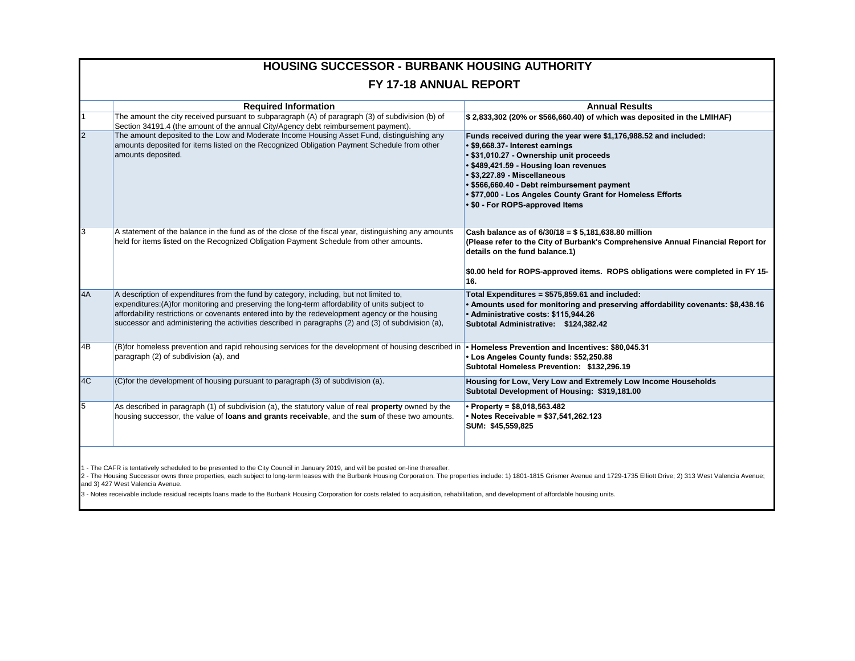|                               | <b>HOUSING SUCCESSOR - BURBANK HOUSING AUTHORITY</b>                                                                                                                                                                                                                                                                                                                                                |                                                                                                                                                                                                                                                                                                                                                                          |  |  |  |
|-------------------------------|-----------------------------------------------------------------------------------------------------------------------------------------------------------------------------------------------------------------------------------------------------------------------------------------------------------------------------------------------------------------------------------------------------|--------------------------------------------------------------------------------------------------------------------------------------------------------------------------------------------------------------------------------------------------------------------------------------------------------------------------------------------------------------------------|--|--|--|
| <b>FY 17-18 ANNUAL REPORT</b> |                                                                                                                                                                                                                                                                                                                                                                                                     |                                                                                                                                                                                                                                                                                                                                                                          |  |  |  |
|                               | <b>Required Information</b>                                                                                                                                                                                                                                                                                                                                                                         | <b>Annual Results</b>                                                                                                                                                                                                                                                                                                                                                    |  |  |  |
|                               | The amount the city received pursuant to subparagraph (A) of paragraph (3) of subdivision (b) of<br>Section 34191.4 (the amount of the annual City/Agency debt reimbursement payment).                                                                                                                                                                                                              | \$2,833,302 (20% or \$566,660.40) of which was deposited in the LMIHAF)                                                                                                                                                                                                                                                                                                  |  |  |  |
|                               | The amount deposited to the Low and Moderate Income Housing Asset Fund, distinguishing any<br>amounts deposited for items listed on the Recognized Obligation Payment Schedule from other<br>amounts deposited.                                                                                                                                                                                     | Funds received during the year were \$1,176,988.52 and included:<br>· \$9,668.37- Interest earnings<br>• \$31,010.27 - Ownership unit proceeds<br>• \$489,421.59 - Housing loan revenues<br>• \$3,227.89 - Miscellaneous<br>• \$566,660.40 - Debt reimbursement payment<br>. \$77,000 - Los Angeles County Grant for Homeless Efforts<br>• \$0 - For ROPS-approved Items |  |  |  |
|                               | A statement of the balance in the fund as of the close of the fiscal year, distinguishing any amounts<br>held for items listed on the Recognized Obligation Payment Schedule from other amounts.                                                                                                                                                                                                    | Cash balance as of $6/30/18 = $5,181,638.80$ million<br>(Please refer to the City of Burbank's Comprehensive Annual Financial Report for<br>details on the fund balance.1)<br>\$0.00 held for ROPS-approved items. ROPS obligations were completed in FY 15-<br>16.                                                                                                      |  |  |  |
| 4A                            | A description of expenditures from the fund by category, including, but not limited to,<br>expenditures: (A) for monitoring and preserving the long-term affordability of units subject to<br>affordability restrictions or covenants entered into by the redevelopment agency or the housing<br>successor and administering the activities described in paragraphs (2) and (3) of subdivision (a), | Total Expenditures = \$575,859.61 and included:<br>• Amounts used for monitoring and preserving affordability covenants: \$8,438.16<br>· Administrative costs: \$115,944.26<br>Subtotal Administrative: \$124,382.42                                                                                                                                                     |  |  |  |
| 4B                            | (B) for homeless prevention and rapid rehousing services for the development of housing described in<br>paragraph (2) of subdivision (a), and                                                                                                                                                                                                                                                       | • Homeless Prevention and Incentives: \$80,045.31<br>Los Angeles County funds: \$52,250.88<br>Subtotal Homeless Prevention: \$132,296.19                                                                                                                                                                                                                                 |  |  |  |
| 4C                            | $ $ (C)for the development of housing pursuant to paragraph (3) of subdivision (a).                                                                                                                                                                                                                                                                                                                 | Housing for Low, Very Low and Extremely Low Income Households<br>Subtotal Development of Housing: \$319,181.00                                                                                                                                                                                                                                                           |  |  |  |
| 5                             | As described in paragraph (1) of subdivision (a), the statutory value of real property owned by the<br>housing successor, the value of loans and grants receivable, and the sum of these two amounts.                                                                                                                                                                                               | Property = $$8,018,563.482$<br>• Notes Receivable = \$37,541,262.123<br>SUM: \$45,559,825                                                                                                                                                                                                                                                                                |  |  |  |
|                               |                                                                                                                                                                                                                                                                                                                                                                                                     |                                                                                                                                                                                                                                                                                                                                                                          |  |  |  |

1 - The CAFR is tentatively scheduled to be presented to the City Council in January 2019, and will be posted on-line thereafter.<br>2 - The Housing Successor owns three properties, each subject to long-term leases with the B

3 - Notes receivable include residual receipts loans made to the Burbank Housing Corporation for costs related to acquisition, rehabilitation, and development of affordable housing units.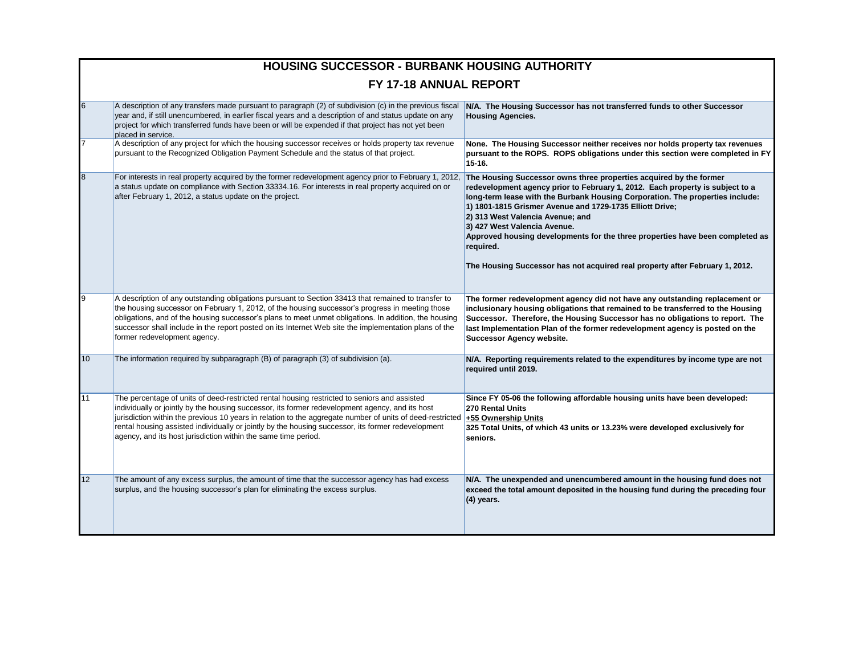|                 | <b>HOUSING SUCCESSOR - BURBANK HOUSING AUTHORITY</b>                                                                                                                                                                                                                                                                                                                                                                                                                                                      |                                                                                                                                                                                                                                                                                                                                                                                                                                                                                                                                                    |  |  |  |
|-----------------|-----------------------------------------------------------------------------------------------------------------------------------------------------------------------------------------------------------------------------------------------------------------------------------------------------------------------------------------------------------------------------------------------------------------------------------------------------------------------------------------------------------|----------------------------------------------------------------------------------------------------------------------------------------------------------------------------------------------------------------------------------------------------------------------------------------------------------------------------------------------------------------------------------------------------------------------------------------------------------------------------------------------------------------------------------------------------|--|--|--|
|                 | FY 17-18 ANNUAL REPORT                                                                                                                                                                                                                                                                                                                                                                                                                                                                                    |                                                                                                                                                                                                                                                                                                                                                                                                                                                                                                                                                    |  |  |  |
| 6               | A description of any transfers made pursuant to paragraph (2) of subdivision (c) in the previous fiscal<br>year and, if still unencumbered, in earlier fiscal years and a description of and status update on any<br>project for which transferred funds have been or will be expended if that project has not yet been<br>placed in service.                                                                                                                                                             | N/A. The Housing Successor has not transferred funds to other Successor<br><b>Housing Agencies.</b>                                                                                                                                                                                                                                                                                                                                                                                                                                                |  |  |  |
|                 | A description of any project for which the housing successor receives or holds property tax revenue<br>pursuant to the Recognized Obligation Payment Schedule and the status of that project.                                                                                                                                                                                                                                                                                                             | None. The Housing Successor neither receives nor holds property tax revenues<br>pursuant to the ROPS. ROPS obligations under this section were completed in FY<br>$15-16.$                                                                                                                                                                                                                                                                                                                                                                         |  |  |  |
| 8               | For interests in real property acquired by the former redevelopment agency prior to February 1, 2012,<br>a status update on compliance with Section 33334.16. For interests in real property acquired on or<br>after February 1, 2012, a status update on the project.                                                                                                                                                                                                                                    | The Housing Successor owns three properties acquired by the former<br>redevelopment agency prior to February 1, 2012. Each property is subject to a<br>long-term lease with the Burbank Housing Corporation. The properties include:<br>1) 1801-1815 Grismer Avenue and 1729-1735 Elliott Drive;<br>2) 313 West Valencia Avenue; and<br>3) 427 West Valencia Avenue.<br>Approved housing developments for the three properties have been completed as<br>required.<br>The Housing Successor has not acquired real property after February 1, 2012. |  |  |  |
|                 | A description of any outstanding obligations pursuant to Section 33413 that remained to transfer to<br>the housing successor on February 1, 2012, of the housing successor's progress in meeting those<br>obligations, and of the housing successor's plans to meet unmet obligations. In addition, the housing<br>successor shall include in the report posted on its Internet Web site the implementation plans of the<br>former redevelopment agency.                                                  | The former redevelopment agency did not have any outstanding replacement or<br>inclusionary housing obligations that remained to be transferred to the Housing<br>Successor. Therefore, the Housing Successor has no obligations to report. The<br>last Implementation Plan of the former redevelopment agency is posted on the<br><b>Successor Agency website.</b>                                                                                                                                                                                |  |  |  |
| 10 <sup>1</sup> | The information required by subparagraph (B) of paragraph (3) of subdivision (a).                                                                                                                                                                                                                                                                                                                                                                                                                         | N/A. Reporting requirements related to the expenditures by income type are not<br>required until 2019.                                                                                                                                                                                                                                                                                                                                                                                                                                             |  |  |  |
| 11              | The percentage of units of deed-restricted rental housing restricted to seniors and assisted<br>individually or jointly by the housing successor, its former redevelopment agency, and its host<br>jurisdiction within the previous 10 years in relation to the aggregate number of units of deed-restricted  +55 Ownership Units<br>rental housing assisted individually or jointly by the housing successor, its former redevelopment<br>agency, and its host jurisdiction within the same time period. | Since FY 05-06 the following affordable housing units have been developed:<br>270 Rental Units<br>325 Total Units, of which 43 units or 13.23% were developed exclusively for<br>seniors.                                                                                                                                                                                                                                                                                                                                                          |  |  |  |
| 12 <sup>2</sup> | The amount of any excess surplus, the amount of time that the successor agency has had excess<br>surplus, and the housing successor's plan for eliminating the excess surplus.                                                                                                                                                                                                                                                                                                                            | N/A. The unexpended and unencumbered amount in the housing fund does not<br>exceed the total amount deposited in the housing fund during the preceding four<br>$(4)$ years.                                                                                                                                                                                                                                                                                                                                                                        |  |  |  |